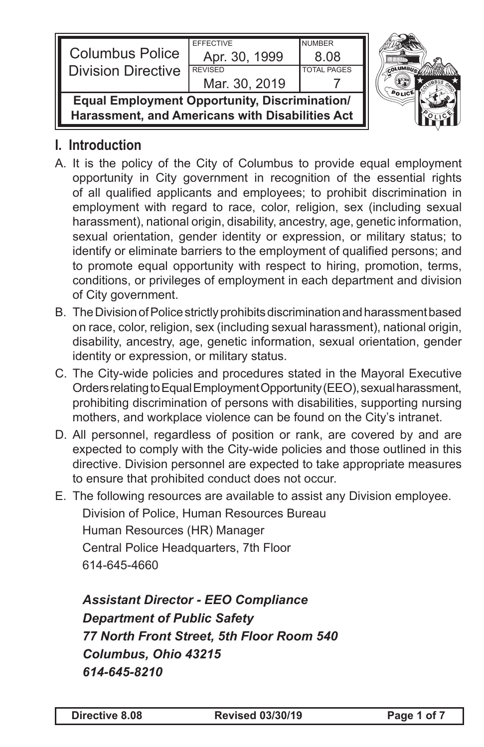| <b>Columbus Police</b><br><b>I</b> Division Directive                                                   | <b>FFFFCTIVE</b><br>Apr. 30, 1999<br><b>REVISED</b> | <b>NUMBER</b><br>8.08 |  |
|---------------------------------------------------------------------------------------------------------|-----------------------------------------------------|-----------------------|--|
|                                                                                                         | Mar. 30, 2019                                       | <b>TOTAL PAGES</b>    |  |
| <b>Equal Employment Opportunity, Discrimination/</b><br>Harassment, and Americans with Disabilities Act |                                                     |                       |  |

## **I. Introduction**

- A. It is the policy of the City of Columbus to provide equal employment opportunity in City government in recognition of the essential rights of all qualified applicants and employees; to prohibit discrimination in employment with regard to race, color, religion, sex (including sexual harassment), national origin, disability, ancestry, age, genetic information, sexual orientation, gender identity or expression, or military status; to identify or eliminate barriers to the employment of qualified persons; and to promote equal opportunity with respect to hiring, promotion, terms, conditions, or privileges of employment in each department and division of City government.
- B. The Division of Police strictly prohibits discrimination and harassment based on race, color, religion, sex (including sexual harassment), national origin, disability, ancestry, age, genetic information, sexual orientation, gender identity or expression, or military status.
- C. The City-wide policies and procedures stated in the Mayoral Executive Orders relating to Equal Employment Opportunity (EEO), sexual harassment, prohibiting discrimination of persons with disabilities, supporting nursing mothers, and workplace violence can be found on the City's intranet.
- D. All personnel, regardless of position or rank, are covered by and are expected to comply with the City-wide policies and those outlined in this directive. Division personnel are expected to take appropriate measures to ensure that prohibited conduct does not occur.
- E. The following resources are available to assist any Division employee. Division of Police, Human Resources Bureau Human Resources (HR) Manager Central Police Headquarters, 7th Floor 614-645-4660

*Assistant Director - EEO Compliance Department of Public Safety 77 North Front Street, 5th Floor Room 540 Columbus, Ohio 43215 614-645-8210*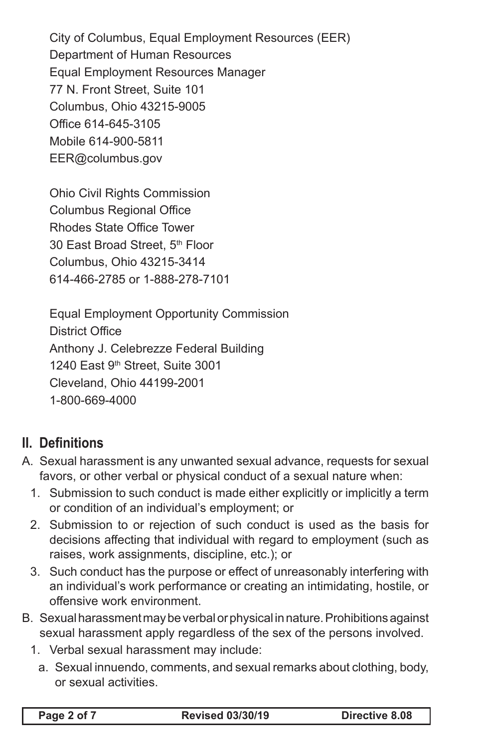City of Columbus, Equal Employment Resources (EER) Department of Human Resources Equal Employment Resources Manager 77 N. Front Street, Suite 101 Columbus, Ohio 43215-9005 Office 614-645-3105 Mobile 614-900-5811 EER@columbus.gov

Ohio Civil Rights Commission Columbus Regional Office Rhodes State Office Tower 30 East Broad Street, 5th Floor Columbus, Ohio 43215-3414 614-466-2785 or 1-888-278-7101

Equal Employment Opportunity Commission District Office Anthony J. Celebrezze Federal Building 1240 East 9th Street, Suite 3001 Cleveland, Ohio 44199-2001 1-800-669-4000

## **II. Definitions**

- A. Sexual harassment is any unwanted sexual advance, requests for sexual favors, or other verbal or physical conduct of a sexual nature when:
	- 1. Submission to such conduct is made either explicitly or implicitly a term or condition of an individual's employment; or
	- 2. Submission to or rejection of such conduct is used as the basis for decisions affecting that individual with regard to employment (such as raises, work assignments, discipline, etc.); or
	- 3. Such conduct has the purpose or effect of unreasonably interfering with an individual's work performance or creating an intimidating, hostile, or offensive work environment.
- B. Sexual harassment may be verbal or physical in nature. Prohibitions against sexual harassment apply regardless of the sex of the persons involved.
	- 1. Verbal sexual harassment may include:
		- a. Sexual innuendo, comments, and sexual remarks about clothing, body, or sexual activities.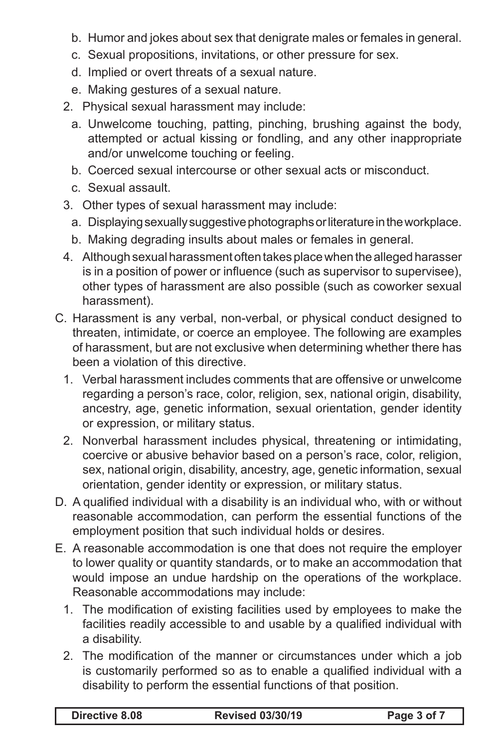- b. Humor and jokes about sex that denigrate males or females in general.
- c. Sexual propositions, invitations, or other pressure for sex.
- d. Implied or overt threats of a sexual nature.
- e. Making gestures of a sexual nature.
- 2. Physical sexual harassment may include:
	- a. Unwelcome touching, patting, pinching, brushing against the body, attempted or actual kissing or fondling, and any other inappropriate and/or unwelcome touching or feeling.
	- b. Coerced sexual intercourse or other sexual acts or misconduct.
	- c. Sexual assault.
- 3. Other types of sexual harassment may include:
	- a. Displaying sexually suggestive photographs or literature in the workplace.
	- b. Making degrading insults about males or females in general.
- 4. Although sexual harassment often takes place when the alleged harasser is in a position of power or influence (such as supervisor to supervisee), other types of harassment are also possible (such as coworker sexual harassment).
- C. Harassment is any verbal, non-verbal, or physical conduct designed to threaten, intimidate, or coerce an employee. The following are examples of harassment, but are not exclusive when determining whether there has been a violation of this directive.
	- 1. Verbal harassment includes comments that are offensive or unwelcome regarding a person's race, color, religion, sex, national origin, disability, ancestry, age, genetic information, sexual orientation, gender identity or expression, or military status.
	- 2. Nonverbal harassment includes physical, threatening or intimidating, coercive or abusive behavior based on a person's race, color, religion, sex, national origin, disability, ancestry, age, genetic information, sexual orientation, gender identity or expression, or military status.
- D. A qualified individual with a disability is an individual who, with or without reasonable accommodation, can perform the essential functions of the employment position that such individual holds or desires.
- E. A reasonable accommodation is one that does not require the employer to lower quality or quantity standards, or to make an accommodation that would impose an undue hardship on the operations of the workplace. Reasonable accommodations may include:
	- 1. The modification of existing facilities used by employees to make the facilities readily accessible to and usable by a qualified individual with a disability.
	- 2. The modification of the manner or circumstances under which a job is customarily performed so as to enable a qualified individual with a disability to perform the essential functions of that position.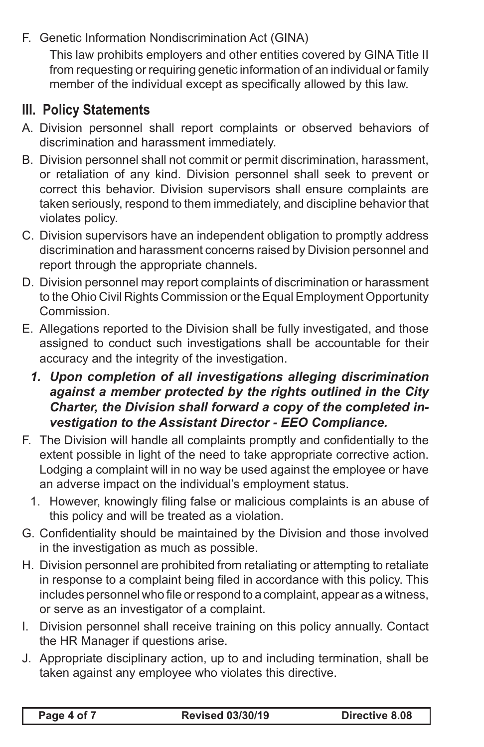F. Genetic Information Nondiscrimination Act (GINA)

This law prohibits employers and other entities covered by GINA Title II from requesting or requiring genetic information of an individual or family member of the individual except as specifically allowed by this law.

## **III. Policy Statements**

- A. Division personnel shall report complaints or observed behaviors of discrimination and harassment immediately.
- B. Division personnel shall not commit or permit discrimination, harassment, or retaliation of any kind. Division personnel shall seek to prevent or correct this behavior. Division supervisors shall ensure complaints are taken seriously, respond to them immediately, and discipline behavior that violates policy.
- C. Division supervisors have an independent obligation to promptly address discrimination and harassment concerns raised by Division personnel and report through the appropriate channels.
- D. Division personnel may report complaints of discrimination or harassment to the Ohio Civil Rights Commission or the Equal Employment Opportunity Commission.
- E. Allegations reported to the Division shall be fully investigated, and those assigned to conduct such investigations shall be accountable for their accuracy and the integrity of the investigation.
	- *1. Upon completion of all investigations alleging discrimination against a member protected by the rights outlined in the City Charter, the Division shall forward a copy of the completed investigation to the Assistant Director - EEO Compliance.*
- F. The Division will handle all complaints promptly and confidentially to the extent possible in light of the need to take appropriate corrective action. Lodging a complaint will in no way be used against the employee or have an adverse impact on the individual's employment status.
	- 1. However, knowingly filing false or malicious complaints is an abuse of this policy and will be treated as a violation.
- G. Confidentiality should be maintained by the Division and those involved in the investigation as much as possible.
- H. Division personnel are prohibited from retaliating or attempting to retaliate in response to a complaint being filed in accordance with this policy. This includes personnel who file or respond to a complaint, appear as a witness, or serve as an investigator of a complaint.
- I. Division personnel shall receive training on this policy annually. Contact the HR Manager if questions arise.
- J. Appropriate disciplinary action, up to and including termination, shall be taken against any employee who violates this directive.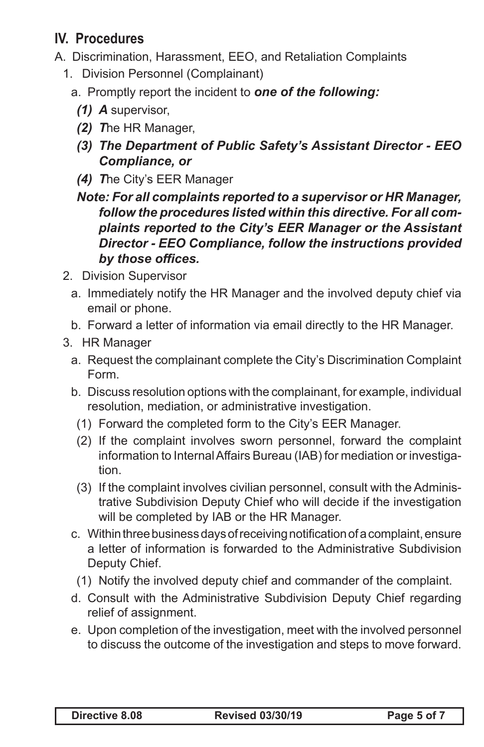## **IV. Procedures**

- A. Discrimination, Harassment, EEO, and Retaliation Complaints
	- 1. Division Personnel (Complainant)
		- a. Promptly report the incident to *one of the following:*
			- *(1) A* supervisor,
			- *(2) T*he HR Manager,
			- *(3) The Department of Public Safety's Assistant Director EEO Compliance, or*
			- *(4) T*he City's EER Manager
			- *Note: For all complaints reported to a supervisor or HR Manager, follow the procedures listed within this directive. For all complaints reported to the City's EER Manager or the Assistant Director - EEO Compliance, follow the instructions provided by those offices.*
	- 2. Division Supervisor
		- a. Immediately notify the HR Manager and the involved deputy chief via email or phone.
		- b. Forward a letter of information via email directly to the HR Manager.
	- 3. HR Manager
		- a. Request the complainant complete the City's Discrimination Complaint Form.
		- b. Discuss resolution options with the complainant, for example, individual resolution, mediation, or administrative investigation.
		- (1) Forward the completed form to the City's EER Manager.
		- (2) If the complaint involves sworn personnel, forward the complaint information to Internal Affairs Bureau (IAB) for mediation or investigation.
		- (3) If the complaint involves civilian personnel, consult with the Administrative Subdivision Deputy Chief who will decide if the investigation will be completed by IAB or the HR Manager.
		- c. Within three business days of receiving notification of a complaint, ensure a letter of information is forwarded to the Administrative Subdivision Deputy Chief.
		- (1) Notify the involved deputy chief and commander of the complaint.
		- d. Consult with the Administrative Subdivision Deputy Chief regarding relief of assignment.
		- e. Upon completion of the investigation, meet with the involved personnel to discuss the outcome of the investigation and steps to move forward.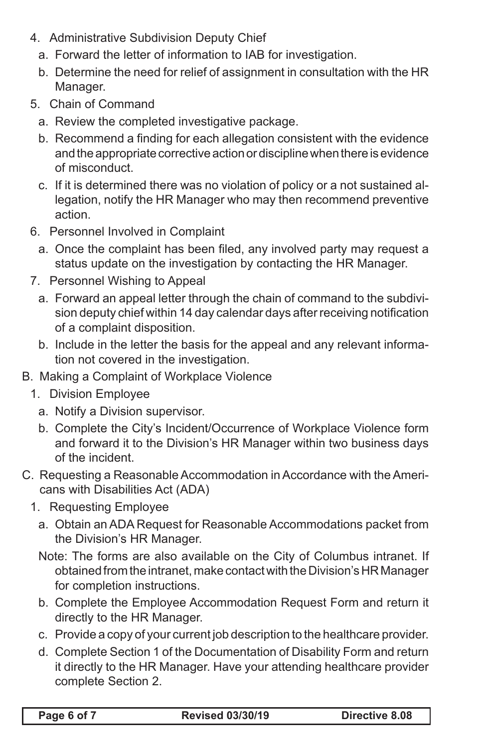- 4. Administrative Subdivision Deputy Chief
	- a. Forward the letter of information to IAB for investigation.
	- b. Determine the need for relief of assignment in consultation with the HR Manager.
- 5. Chain of Command
	- a. Review the completed investigative package.
	- b. Recommend a finding for each allegation consistent with the evidence and the appropriate corrective action or discipline when there is evidence of misconduct.
	- c. If it is determined there was no violation of policy or a not sustained allegation, notify the HR Manager who may then recommend preventive action.
- 6. Personnel Involved in Complaint
	- a. Once the complaint has been filed, any involved party may request a status update on the investigation by contacting the HR Manager.
- 7. Personnel Wishing to Appeal
	- a. Forward an appeal letter through the chain of command to the subdivision deputy chief within 14 day calendar days after receiving notification of a complaint disposition.
	- b. Include in the letter the basis for the appeal and any relevant information not covered in the investigation.
- B. Making a Complaint of Workplace Violence
	- 1. Division Employee
		- a. Notify a Division supervisor.
		- b. Complete the City's Incident/Occurrence of Workplace Violence form and forward it to the Division's HR Manager within two business days of the incident.
- C. Requesting a Reasonable Accommodation in Accordance with the Americans with Disabilities Act (ADA)
	- 1. Requesting Employee
		- a. Obtain an ADA Request for Reasonable Accommodations packet from the Division's HR Manager.
		- Note: The forms are also available on the City of Columbus intranet. If obtained from the intranet, make contact with the Division's HR Manager for completion instructions.
		- b. Complete the Employee Accommodation Request Form and return it directly to the HR Manager.
		- c. Provide a copy of your current job description to the healthcare provider.
		- d. Complete Section 1 of the Documentation of Disability Form and return it directly to the HR Manager. Have your attending healthcare provider complete Section 2.